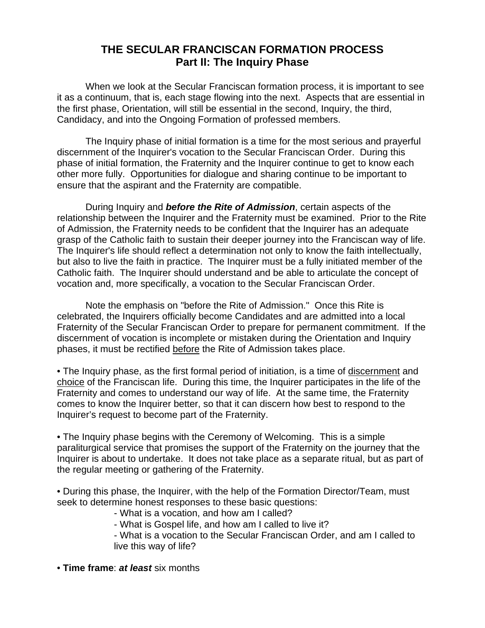## **THE SECULAR FRANCISCAN FORMATION PROCESS Part II: The Inquiry Phase**

 When we look at the Secular Franciscan formation process, it is important to see it as a continuum, that is, each stage flowing into the next. Aspects that are essential in the first phase, Orientation, will still be essential in the second, Inquiry, the third, Candidacy, and into the Ongoing Formation of professed members.

 The Inquiry phase of initial formation is a time for the most serious and prayerful discernment of the Inquirer's vocation to the Secular Franciscan Order. During this phase of initial formation, the Fraternity and the Inquirer continue to get to know each other more fully. Opportunities for dialogue and sharing continue to be important to ensure that the aspirant and the Fraternity are compatible.

 During Inquiry and **before the Rite of Admission**, certain aspects of the relationship between the Inquirer and the Fraternity must be examined. Prior to the Rite of Admission, the Fraternity needs to be confident that the Inquirer has an adequate grasp of the Catholic faith to sustain their deeper journey into the Franciscan way of life. The Inquirer's life should reflect a determination not only to know the faith intellectually, but also to live the faith in practice. The Inquirer must be a fully initiated member of the Catholic faith. The Inquirer should understand and be able to articulate the concept of vocation and, more specifically, a vocation to the Secular Franciscan Order.

 Note the emphasis on "before the Rite of Admission." Once this Rite is celebrated, the Inquirers officially become Candidates and are admitted into a local Fraternity of the Secular Franciscan Order to prepare for permanent commitment. If the discernment of vocation is incomplete or mistaken during the Orientation and Inquiry phases, it must be rectified before the Rite of Admission takes place.

• The Inquiry phase, as the first formal period of initiation, is a time of discernment and choice of the Franciscan life. During this time, the Inquirer participates in the life of the Fraternity and comes to understand our way of life. At the same time, the Fraternity comes to know the Inquirer better, so that it can discern how best to respond to the Inquirer's request to become part of the Fraternity.

• The Inquiry phase begins with the Ceremony of Welcoming. This is a simple paraliturgical service that promises the support of the Fraternity on the journey that the Inquirer is about to undertake. It does not take place as a separate ritual, but as part of the regular meeting or gathering of the Fraternity.

• During this phase, the Inquirer, with the help of the Formation Director/Team, must seek to determine honest responses to these basic questions:

- What is a vocation, and how am I called?
- What is Gospel life, and how am I called to live it?
- What is a vocation to the Secular Franciscan Order, and am I called to live this way of life?
- **Time frame**: **at least** six months